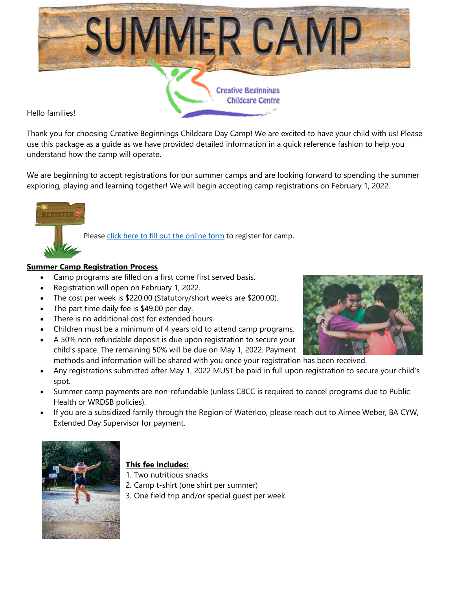

Hello families!

Thank you for choosing Creative Beginnings Childcare Day Camp! We are excited to have your child with us! Please use this package as a guide as we have provided detailed information in a quick reference fashion to help you understand how the camp will operate.

We are beginning to accept registrations for our summer camps and are looking forward to spending the summer exploring, playing and learning together! We will begin accepting camp registrations on February 1, 2022.

Please click here to fill out the [online](https://forms.office.com/Pages/ResponsePage.aspx?id=xB_7Mo2zkU6s0xje1sskDiClh7Z417tGm_rK94ViTCBUQjNEVUxXNjhIQUtVVzkzU0M1SThSMEkySC4u) form to register for camp.

## **Summer Camp Registration Process**

- Camp programs are filled on a first come first served basis.
- Registration will open on February 1, 2022.
- The cost per week is \$220.00 (Statutory/short weeks are \$200.00).
- The part time daily fee is \$49.00 per day.
- There is no additional cost for extended hours.
- Children must be a minimum of 4 years old to attend camp programs.
- A 50% non-refundable deposit is due upon registration to secure your child's space. The remaining 50% will be due on May 1, 2022. Payment methods and information will be shared with you once your registration has been received.
- Any registrations submitted after May 1, 2022 MUST be paid in full upon registration to secure your child's spot.
- Summer camp payments are non-refundable (unless CBCC is required to cancel programs due to Public Health or WRDSB policies).
- If you are a subsidized family through the Region of Waterloo, please reach out to Aimee Weber, BA CYW, Extended Day Supervisor for payment.



# **This fee includes:**

- 1. Two nutritious snacks
- 2. Camp t-shirt (one shirt per summer)
- 3. One field trip and/or special guest per week.